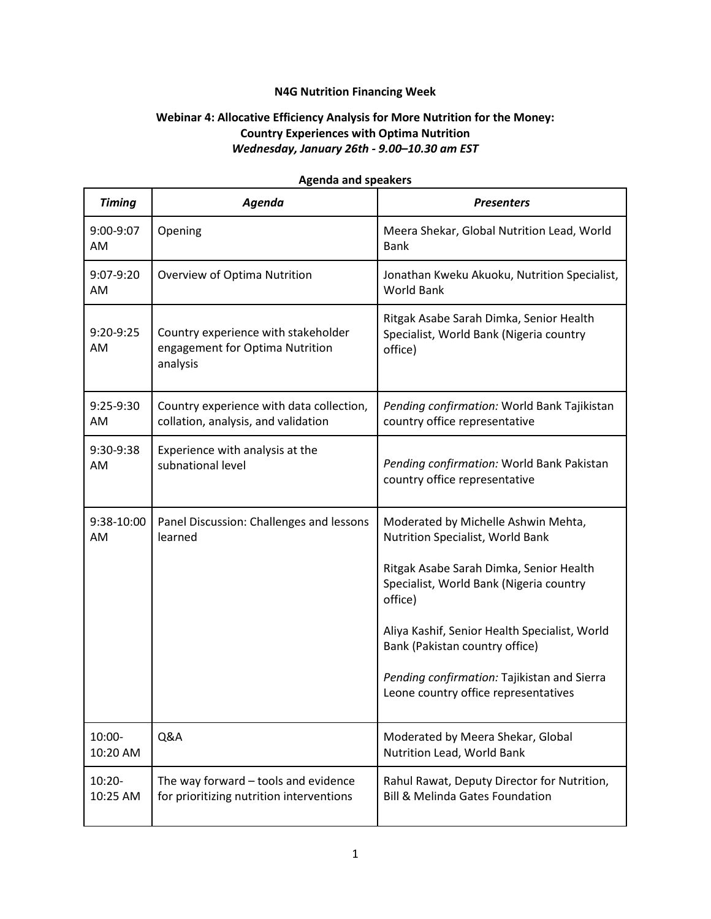## **N4G Nutrition Financing Week**

## **Webinar 4: Allocative Efficiency Analysis for More Nutrition for the Money: Country Experiences with Optima Nutrition** *Wednesday, January 26th - 9.00–10.30 am EST*

| <b>Timing</b>         | Agenda                                                                             | <b>Presenters</b>                                                                             |
|-----------------------|------------------------------------------------------------------------------------|-----------------------------------------------------------------------------------------------|
| 9:00-9:07<br>AM       | Opening                                                                            | Meera Shekar, Global Nutrition Lead, World<br><b>Bank</b>                                     |
| 9:07-9:20<br>AM       | Overview of Optima Nutrition                                                       | Jonathan Kweku Akuoku, Nutrition Specialist,<br><b>World Bank</b>                             |
| 9:20-9:25<br>AM       | Country experience with stakeholder<br>engagement for Optima Nutrition<br>analysis | Ritgak Asabe Sarah Dimka, Senior Health<br>Specialist, World Bank (Nigeria country<br>office) |
| 9:25-9:30<br>AM       | Country experience with data collection,<br>collation, analysis, and validation    | Pending confirmation: World Bank Tajikistan<br>country office representative                  |
| 9:30-9:38<br>AM.      | Experience with analysis at the<br>subnational level                               | Pending confirmation: World Bank Pakistan<br>country office representative                    |
| 9:38-10:00<br>AM      | Panel Discussion: Challenges and lessons<br>learned                                | Moderated by Michelle Ashwin Mehta,<br>Nutrition Specialist, World Bank                       |
|                       |                                                                                    | Ritgak Asabe Sarah Dimka, Senior Health<br>Specialist, World Bank (Nigeria country<br>office) |
|                       |                                                                                    | Aliya Kashif, Senior Health Specialist, World<br>Bank (Pakistan country office)               |
|                       |                                                                                    | Pending confirmation: Tajikistan and Sierra<br>Leone country office representatives           |
| 10:00-<br>10:20 AM    | Q&A                                                                                | Moderated by Meera Shekar, Global<br>Nutrition Lead, World Bank                               |
| $10:20 -$<br>10:25 AM | The way forward - tools and evidence<br>for prioritizing nutrition interventions   | Rahul Rawat, Deputy Director for Nutrition,<br><b>Bill &amp; Melinda Gates Foundation</b>     |

## **Agenda and speakers**